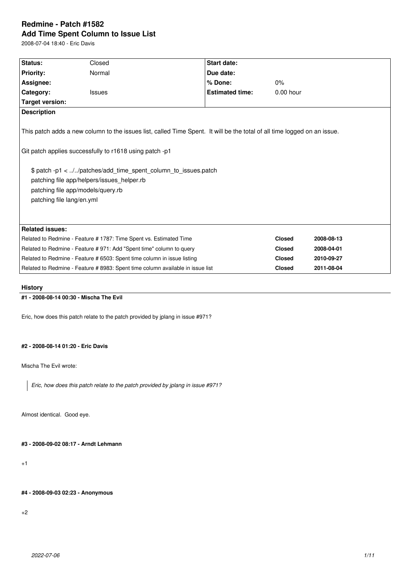# **Redmine - Patch #1582 Add Time Spent Column to Issue List**

2008-07-04 18:40 - Eric Davis

| Status:                                                                                                                                                                                                                                                                                                                                                               | Closed                                                                         | <b>Start date:</b>     |               |            |  |  |
|-----------------------------------------------------------------------------------------------------------------------------------------------------------------------------------------------------------------------------------------------------------------------------------------------------------------------------------------------------------------------|--------------------------------------------------------------------------------|------------------------|---------------|------------|--|--|
|                                                                                                                                                                                                                                                                                                                                                                       | Normal                                                                         | Due date:              |               |            |  |  |
| <b>Priority:</b>                                                                                                                                                                                                                                                                                                                                                      |                                                                                |                        |               |            |  |  |
| Assignee:                                                                                                                                                                                                                                                                                                                                                             |                                                                                | % Done:                | $0\%$         |            |  |  |
| Category:                                                                                                                                                                                                                                                                                                                                                             | <b>Issues</b>                                                                  | <b>Estimated time:</b> | $0.00$ hour   |            |  |  |
| <b>Target version:</b>                                                                                                                                                                                                                                                                                                                                                |                                                                                |                        |               |            |  |  |
| <b>Description</b>                                                                                                                                                                                                                                                                                                                                                    |                                                                                |                        |               |            |  |  |
| This patch adds a new column to the issues list, called Time Spent. It will be the total of all time logged on an issue.<br>Git patch applies successfully to r1618 using patch -p1<br>\$ patch -p1 < //patches/add_time_spent_column_to_issues.patch<br>patching file app/helpers/issues_helper.rb<br>patching file app/models/query.rb<br>patching file lang/en.yml |                                                                                |                        |               |            |  |  |
| <b>Related issues:</b>                                                                                                                                                                                                                                                                                                                                                |                                                                                |                        |               |            |  |  |
| Related to Redmine - Feature # 1787: Time Spent vs. Estimated Time                                                                                                                                                                                                                                                                                                    |                                                                                |                        | <b>Closed</b> | 2008-08-13 |  |  |
| Related to Redmine - Feature # 971: Add "Spent time" column to query                                                                                                                                                                                                                                                                                                  |                                                                                |                        | <b>Closed</b> | 2008-04-01 |  |  |
| Related to Redmine - Feature # 6503: Spent time column in issue listing                                                                                                                                                                                                                                                                                               |                                                                                |                        | <b>Closed</b> | 2010-09-27 |  |  |
|                                                                                                                                                                                                                                                                                                                                                                       | Related to Redmine - Feature # 8983: Spent time column available in issue list |                        | <b>Closed</b> | 2011-08-04 |  |  |
|                                                                                                                                                                                                                                                                                                                                                                       |                                                                                |                        |               |            |  |  |

## **History**

## **#1 - 2008-08-14 00:30 - Mischa The Evil**

Eric, how does this patch relate to the patch provided by jplang in issue #971?

## **#2 - 2008-08-14 01:20 - Eric Davis**

Mischa The Evil wrote:

*Eric, how does this patch relate to the patch provided by jplang in issue #971?*

Almost identical. Good eye.

**#3 - 2008-09-02 08:17 - Arndt Lehmann**

+1

**#4 - 2008-09-03 02:23 - Anonymous**

+2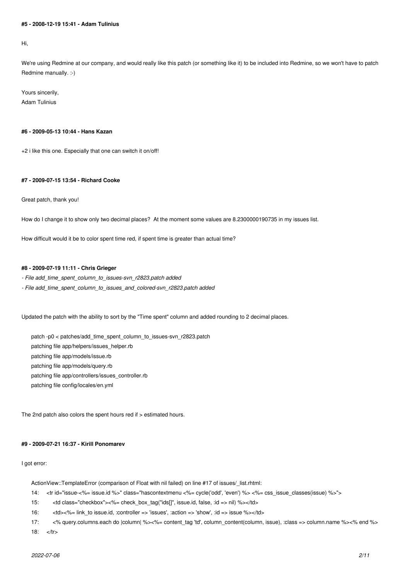#### **#5 - 2008-12-19 15:41 - Adam Tulinius**

Hi,

We're using Redmine at our company, and would really like this patch (or something like it) to be included into Redmine, so we won't have to patch Redmine manually. :-)

Yours sincerily, Adam Tulinius

#### **#6 - 2009-05-13 10:44 - Hans Kazan**

+2 i like this one. Especially that one can switch it on/off!

## **#7 - 2009-07-15 13:54 - Richard Cooke**

Great patch, thank you!

How do I change it to show only two decimal places? At the moment some values are 8.2300000190735 in my issues list.

How difficult would it be to color spent time red, if spent time is greater than actual time?

### **#8 - 2009-07-19 11:11 - Chris Grieger**

*- File add\_time\_spent\_column\_to\_issues-svn\_r2823.patch added*

*- File add\_time\_spent\_column\_to\_issues\_and\_colored-svn\_r2823.patch added*

Updated the patch with the ability to sort by the "Time spent" column and added rounding to 2 decimal places.

patch -p0 < patches/add\_time\_spent\_column\_to\_issues-svn\_r2823.patch

patching file app/helpers/issues\_helper.rb

patching file app/models/issue.rb

patching file app/models/query.rb

patching file app/controllers/issues\_controller.rb

patching file config/locales/en.yml

The 2nd patch also colors the spent hours red if > estimated hours.

## **#9 - 2009-07-21 16:37 - Kirill Ponomarev**

#### I got error:

ActionView::TemplateError (comparison of Float with nil failed) on line #17 of issues/\_list.rhtml:

- 14: <tr id="issue-<%= issue.id %>" class="hascontextmenu <%= cycle('odd', 'even') %> <%= css\_issue\_classes(issue) %>">
- 15: <td class="checkbox"><%= check\_box\_tag("ids[]", issue.id, false, :id => nil) %></td>
- 16:  $\langle \text{td} \rangle < \langle \text{td} \rangle < \gamma' \rangle = \text{link to issue.id}$ , :controller => 'issues', :action => 'show', :id => issue %></td>
- 17: <% query.columns.each do |column| %><%= content\_tag 'td', column\_content(column, issue), :class => column.name %><% end %>

18: </tr>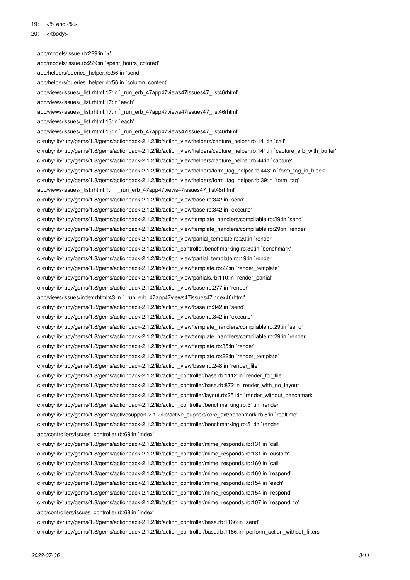19: <% end -%>

20: </tbody>

 app/models/issue.rb:229:in `>' app/models/issue.rb:229:in `spent\_hours\_colored' app/helpers/queries\_helper.rb:56:in `send' app/helpers/queries\_helper.rb:56:in `column\_content' app/views/issues/\_list.rhtml:17:in `\_run\_erb\_47app47views47issues47\_list46rhtml' app/views/issues/\_list.rhtml:17:in `each' app/views/issues/\_list.rhtml:17:in `\_run\_erb\_47app47views47issues47\_list46rhtml' app/views/issues/\_list.rhtml:13:in `each' app/views/issues/\_list.rhtml:13:in `\_run\_erb\_47app47views47issues47\_list46rhtml' c:/ruby/lib/ruby/gems/1.8/gems/actionpack-2.1.2/lib/action\_view/helpers/capture\_helper.rb:141:in `call' c:/ruby/lib/ruby/gems/1.8/gems/actionpack-2.1.2/lib/action\_view/helpers/capture\_helper.rb:141:in `capture\_erb\_with\_buffer' c:/ruby/lib/ruby/gems/1.8/gems/actionpack-2.1.2/lib/action\_view/helpers/capture\_helper.rb:44:in `capture' c:/ruby/lib/ruby/gems/1.8/gems/actionpack-2.1.2/lib/action\_view/helpers/form\_tag\_helper.rb:443:in `form\_tag\_in\_block' c:/ruby/lib/ruby/gems/1.8/gems/actionpack-2.1.2/lib/action\_view/helpers/form\_tag\_helper.rb:39:in `form\_tag' app/views/issues/\_list.rhtml:1:in `\_run\_erb\_47app47views47issues47\_list46rhtml' c:/ruby/lib/ruby/gems/1.8/gems/actionpack-2.1.2/lib/action\_view/base.rb:342:in `send' c:/ruby/lib/ruby/gems/1.8/gems/actionpack-2.1.2/lib/action\_view/base.rb:342:in `execute' c:/ruby/lib/ruby/gems/1.8/gems/actionpack-2.1.2/lib/action\_view/template\_handlers/compilable.rb:29:in `send' c:/ruby/lib/ruby/gems/1.8/gems/actionpack-2.1.2/lib/action\_view/template\_handlers/compilable.rb:29:in `render' c:/ruby/lib/ruby/gems/1.8/gems/actionpack-2.1.2/lib/action\_view/partial\_template.rb:20:in `render' c:/ruby/lib/ruby/gems/1.8/gems/actionpack-2.1.2/lib/action\_controller/benchmarking.rb:30:in `benchmark' c:/ruby/lib/ruby/gems/1.8/gems/actionpack-2.1.2/lib/action\_view/partial\_template.rb:19:in `render' c:/ruby/lib/ruby/gems/1.8/gems/actionpack-2.1.2/lib/action\_view/template.rb:22:in `render\_template' c:/ruby/lib/ruby/gems/1.8/gems/actionpack-2.1.2/lib/action\_view/partials.rb:110:in `render\_partial' c:/ruby/lib/ruby/gems/1.8/gems/actionpack-2.1.2/lib/action\_view/base.rb:277:in `render' app/views/issues/index.rhtml:43:in `\_run\_erb\_47app47views47issues47index46rhtml' c:/ruby/lib/ruby/gems/1.8/gems/actionpack-2.1.2/lib/action\_view/base.rb:342:in `send' c:/ruby/lib/ruby/gems/1.8/gems/actionpack-2.1.2/lib/action\_view/base.rb:342:in `execute' c:/ruby/lib/ruby/gems/1.8/gems/actionpack-2.1.2/lib/action\_view/template\_handlers/compilable.rb:29:in `send' c:/ruby/lib/ruby/gems/1.8/gems/actionpack-2.1.2/lib/action\_view/template\_handlers/compilable.rb:29:in `render' c:/ruby/lib/ruby/gems/1.8/gems/actionpack-2.1.2/lib/action\_view/template.rb:35:in `render' c:/ruby/lib/ruby/gems/1.8/gems/actionpack-2.1.2/lib/action\_view/template.rb:22:in `render\_template' c:/ruby/lib/ruby/gems/1.8/gems/actionpack-2.1.2/lib/action\_view/base.rb:248:in `render\_file' c:/ruby/lib/ruby/gems/1.8/gems/actionpack-2.1.2/lib/action\_controller/base.rb:1112:in `render\_for\_file' c:/ruby/lib/ruby/gems/1.8/gems/actionpack-2.1.2/lib/action\_controller/base.rb:872:in `render\_with\_no\_layout' c:/ruby/lib/ruby/gems/1.8/gems/actionpack-2.1.2/lib/action\_controller/layout.rb:251:in `render\_without\_benchmark' c:/ruby/lib/ruby/gems/1.8/gems/actionpack-2.1.2/lib/action\_controller/benchmarking.rb:51:in `render' c:/ruby/lib/ruby/gems/1.8/gems/activesupport-2.1.2/lib/active\_support/core\_ext/benchmark.rb:8:in `realtime' c:/ruby/lib/ruby/gems/1.8/gems/actionpack-2.1.2/lib/action\_controller/benchmarking.rb:51:in `render' app/controllers/issues\_controller.rb:69:in `index' c:/ruby/lib/ruby/gems/1.8/gems/actionpack-2.1.2/lib/action\_controller/mime\_responds.rb:131:in `call' c:/ruby/lib/ruby/gems/1.8/gems/actionpack-2.1.2/lib/action\_controller/mime\_responds.rb:131:in `custom' c:/ruby/lib/ruby/gems/1.8/gems/actionpack-2.1.2/lib/action\_controller/mime\_responds.rb:160:in `call' c:/ruby/lib/ruby/gems/1.8/gems/actionpack-2.1.2/lib/action\_controller/mime\_responds.rb:160:in `respond' c:/ruby/lib/ruby/gems/1.8/gems/actionpack-2.1.2/lib/action\_controller/mime\_responds.rb:154:in `each' c:/ruby/lib/ruby/gems/1.8/gems/actionpack-2.1.2/lib/action\_controller/mime\_responds.rb:154:in `respond' c:/ruby/lib/ruby/gems/1.8/gems/actionpack-2.1.2/lib/action\_controller/mime\_responds.rb:107:in `respond\_to' app/controllers/issues\_controller.rb:68:in `index' c:/ruby/lib/ruby/gems/1.8/gems/actionpack-2.1.2/lib/action\_controller/base.rb:1166:in `send' c:/ruby/lib/ruby/gems/1.8/gems/actionpack-2.1.2/lib/action\_controller/base.rb:1166:in `perform\_action\_without\_filters'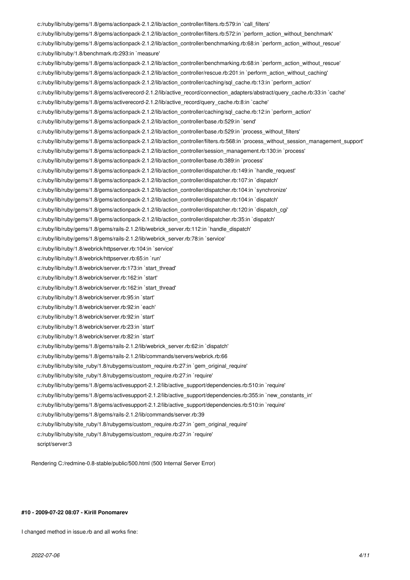c:/ruby/lib/ruby/gems/1.8/gems/actionpack-2.1.2/lib/action\_controller/filters.rb:579:in `call\_filters' c:/ruby/lib/ruby/gems/1.8/gems/actionpack-2.1.2/lib/action\_controller/filters.rb:572:in `perform\_action\_without\_benchmark' c:/ruby/lib/ruby/gems/1.8/gems/actionpack-2.1.2/lib/action\_controller/benchmarking.rb:68:in `perform\_action\_without\_rescue' c:/ruby/lib/ruby/1.8/benchmark.rb:293:in `measure' c:/ruby/lib/ruby/gems/1.8/gems/actionpack-2.1.2/lib/action\_controller/benchmarking.rb:68:in `perform\_action\_without\_rescue' c:/ruby/lib/ruby/gems/1.8/gems/actionpack-2.1.2/lib/action\_controller/rescue.rb:201:in `perform\_action\_without\_caching' c:/ruby/lib/ruby/gems/1.8/gems/actionpack-2.1.2/lib/action\_controller/caching/sql\_cache.rb:13:in `perform\_action' c:/ruby/lib/ruby/gems/1.8/gems/activerecord-2.1.2/lib/active\_record/connection\_adapters/abstract/query\_cache.rb:33:in `cache' c:/ruby/lib/ruby/gems/1.8/gems/activerecord-2.1.2/lib/active\_record/query\_cache.rb:8:in `cache' c:/ruby/lib/ruby/gems/1.8/gems/actionpack-2.1.2/lib/action\_controller/caching/sql\_cache.rb:12:in `perform\_action' c:/ruby/lib/ruby/gems/1.8/gems/actionpack-2.1.2/lib/action\_controller/base.rb:529:in `send' c:/ruby/lib/ruby/gems/1.8/gems/actionpack-2.1.2/lib/action\_controller/base.rb:529:in `process\_without\_filters' c:/ruby/lib/ruby/gems/1.8/gems/actionpack-2.1.2/lib/action\_controller/filters.rb:568:in `process\_without\_session\_management\_support' c:/ruby/lib/ruby/gems/1.8/gems/actionpack-2.1.2/lib/action\_controller/session\_management.rb:130:in `process' c:/ruby/lib/ruby/gems/1.8/gems/actionpack-2.1.2/lib/action\_controller/base.rb:389:in `process' c:/ruby/lib/ruby/gems/1.8/gems/actionpack-2.1.2/lib/action\_controller/dispatcher.rb:149:in `handle\_request' c:/ruby/lib/ruby/gems/1.8/gems/actionpack-2.1.2/lib/action\_controller/dispatcher.rb:107:in `dispatch' c:/ruby/lib/ruby/gems/1.8/gems/actionpack-2.1.2/lib/action\_controller/dispatcher.rb:104:in `synchronize' c:/ruby/lib/ruby/gems/1.8/gems/actionpack-2.1.2/lib/action\_controller/dispatcher.rb:104:in `dispatch' c:/ruby/lib/ruby/gems/1.8/gems/actionpack-2.1.2/lib/action\_controller/dispatcher.rb:120:in `dispatch\_cgi' c:/ruby/lib/ruby/gems/1.8/gems/actionpack-2.1.2/lib/action\_controller/dispatcher.rb:35:in `dispatch' c:/ruby/lib/ruby/gems/1.8/gems/rails-2.1.2/lib/webrick\_server.rb:112:in `handle\_dispatch' c:/ruby/lib/ruby/gems/1.8/gems/rails-2.1.2/lib/webrick\_server.rb:78:in `service' c:/ruby/lib/ruby/1.8/webrick/httpserver.rb:104:in `service' c:/ruby/lib/ruby/1.8/webrick/httpserver.rb:65:in `run' c:/ruby/lib/ruby/1.8/webrick/server.rb:173:in `start\_thread' c:/ruby/lib/ruby/1.8/webrick/server.rb:162:in `start' c:/ruby/lib/ruby/1.8/webrick/server.rb:162:in `start\_thread' c:/ruby/lib/ruby/1.8/webrick/server.rb:95:in `start' c:/ruby/lib/ruby/1.8/webrick/server.rb:92:in `each' c:/ruby/lib/ruby/1.8/webrick/server.rb:92:in `start' c:/ruby/lib/ruby/1.8/webrick/server.rb:23:in `start' c:/ruby/lib/ruby/1.8/webrick/server.rb:82:in `start' c:/ruby/lib/ruby/gems/1.8/gems/rails-2.1.2/lib/webrick\_server.rb:62:in `dispatch' c:/ruby/lib/ruby/gems/1.8/gems/rails-2.1.2/lib/commands/servers/webrick.rb:66 c:/ruby/lib/ruby/site\_ruby/1.8/rubygems/custom\_require.rb:27:in `gem\_original\_require' c:/ruby/lib/ruby/site\_ruby/1.8/rubygems/custom\_require.rb:27:in `require' c:/ruby/lib/ruby/gems/1.8/gems/activesupport-2.1.2/lib/active\_support/dependencies.rb:510:in `require' c:/ruby/lib/ruby/gems/1.8/gems/activesupport-2.1.2/lib/active\_support/dependencies.rb:355:in `new\_constants\_in' c:/ruby/lib/ruby/gems/1.8/gems/activesupport-2.1.2/lib/active\_support/dependencies.rb:510:in `require' c:/ruby/lib/ruby/gems/1.8/gems/rails-2.1.2/lib/commands/server.rb:39 c:/ruby/lib/ruby/site\_ruby/1.8/rubygems/custom\_require.rb:27:in `gem\_original\_require' c:/ruby/lib/ruby/site\_ruby/1.8/rubygems/custom\_require.rb:27:in `require' script/server:3

Rendering C:/redmine-0.8-stable/public/500.html (500 Internal Server Error)

#### **#10 - 2009-07-22 08:07 - Kirill Ponomarev**

I changed method in issue.rb and all works fine: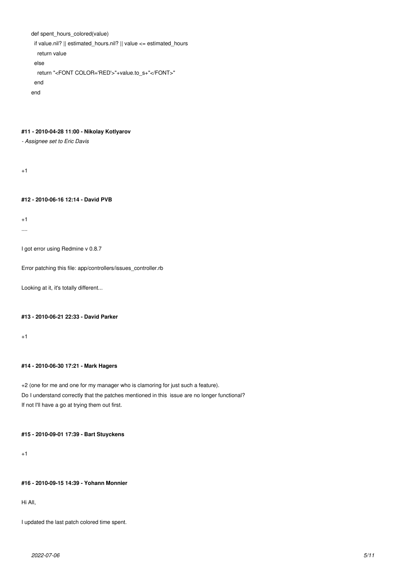```
def spent_hours_colored(value)
 if value.nil? || estimated hours.nil? || value <= estimated hours
   return value
  else
   return "<FONT COLOR='RED'>"+value.to_s+"</FONT>" 
  end
end
```
## **#11 - 2010-04-28 11:00 - Nikolay Kotlyarov**

*- Assignee set to Eric Davis*

 $+1$ 

## **#12 - 2010-06-16 12:14 - David PVB**

+1

....

I got error using Redmine v 0.8.7

Error patching this file: app/controllers/issues\_controller.rb

Looking at it, it's totally different...

#### **#13 - 2010-06-21 22:33 - David Parker**

 $+1$ 

## **#14 - 2010-06-30 17:21 - Mark Hagers**

+2 (one for me and one for my manager who is clamoring for just such a feature). Do I understand correctly that the patches mentioned in this issue are no longer functional? If not I'll have a go at trying them out first.

## **#15 - 2010-09-01 17:39 - Bart Stuyckens**

+1

## **#16 - 2010-09-15 14:39 - Yohann Monnier**

Hi All,

I updated the last patch colored time spent.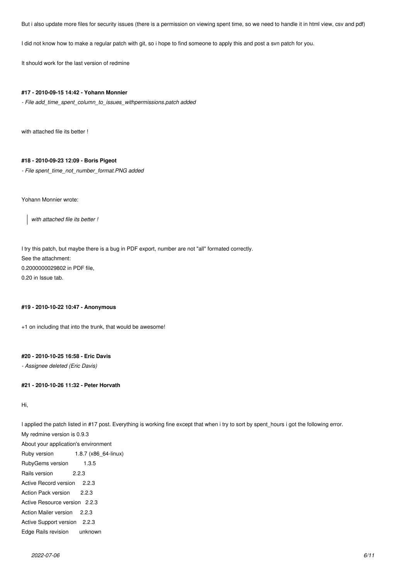But i also update more files for security issues (there is a permission on viewing spent time, so we need to handle it in html view, csv and pdf)

I did not know how to make a regular patch with git, so i hope to find someone to apply this and post a svn patch for you.

It should work for the last version of redmine

#### **#17 - 2010-09-15 14:42 - Yohann Monnier**

*- File add\_time\_spent\_column\_to\_issues\_withpermissions.patch added*

with attached file its better !

### **#18 - 2010-09-23 12:09 - Boris Pigeot**

*- File spent\_time\_not\_number\_format.PNG added*

Yohann Monnier wrote:

*with attached file its better !*

I try this patch, but maybe there is a bug in PDF export, number are not "all" formated correctly. See the attachment: 0.2000000029802 in PDF file, 0.20 in Issue tab.

### **#19 - 2010-10-22 10:47 - Anonymous**

+1 on including that into the trunk, that would be awesome!

#### **#20 - 2010-10-25 16:58 - Eric Davis**

*- Assignee deleted (Eric Davis)*

### **#21 - 2010-10-26 11:32 - Peter Horvath**

Hi,

I applied the patch listed in #17 post. Everything is working fine except that when i try to sort by spent\_hours i got the following error. My redmine version is 0.9.3 About your application's environment Ruby version 1.8.7 (x86\_64-linux) RubyGems version 1.3.5 Rails version 2.2.3

Active Record version 2.2.3 Action Pack version 2.2.3 Active Resource version 2.2.3

- Action Mailer version 2.2.3
- Active Support version 2.2.3
- Edge Rails revision unknown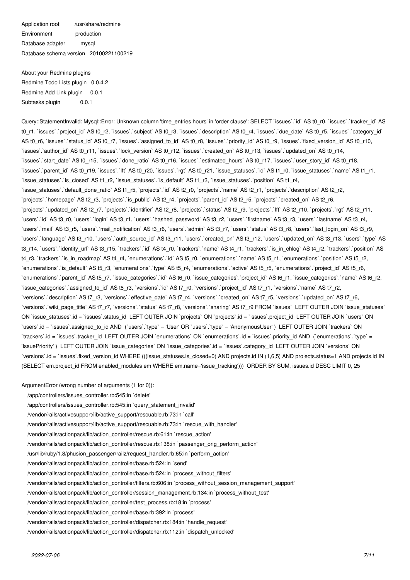Application root /usr/share/redmine Environment production Database adapter mysql Database schema version 20100221100219

About your Redmine plugins Redmine Todo Lists plugin 0.0.4.2 Redmine Add Link plugin 0.0.1 Subtasks plugin 0.0.1

Query::StatementInvalid: Mysql::Error: Unknown column 'time\_entries.hours' in 'order clause': SELECT `issues`.`id` AS t0\_r0, `issues`.`tracker\_id` AS t0\_r1, `issues`.`project\_id` AS t0\_r2, `issues`.`subject` AS t0\_r3, `issues`.`description` AS t0\_r4, `issues`.`due\_date` AS t0\_r5, `issues`.`category\_id` AS t0\_r6, `issues`.`status\_id` AS t0\_r7, `issues`.`assigned\_to\_id` AS t0\_r8, `issues`.`priority\_id` AS t0\_r9, `issues`.`fixed\_version\_id` AS t0\_r10, `issues`.`author\_id` AS t0\_r11, `issues`.`lock\_version` AS t0\_r12, `issues`.`created\_on` AS t0\_r13, `issues`.`updated\_on` AS t0\_r14, `issues`.`start\_date` AS t0\_r15, `issues`.`done\_ratio` AS t0\_r16, `issues`.`estimated\_hours` AS t0\_r17, `issues`.`user\_story\_id` AS t0\_r18, `issues`.`parent\_id` AS t0\_r19, `issues`.`lft` AS t0\_r20, `issues`.`rgt` AS t0\_r21, `issue\_statuses`.`id` AS t1\_r0, `issue\_statuses`.`name` AS t1\_r1, `issue\_statuses`.`is\_closed` AS t1\_r2, `issue\_statuses`.`is\_default` AS t1\_r3, `issue\_statuses`.`position` AS t1\_r4, `issue\_statuses`.`default\_done\_ratio` AS t1\_r5, `projects`.`id` AS t2\_r0, `projects`.`name` AS t2\_r1, `projects`.`description` AS t2\_r2, `projects`.`homepage` AS t2\_r3, `projects`.`is\_public` AS t2\_r4, `projects`.`parent\_id` AS t2\_r5, `projects`.`created\_on` AS t2\_r6, `projects`.`updated\_on` AS t2\_r7, `projects`.`identifier` AS t2\_r8, `projects`.`status` AS t2\_r9, `projects`.`lft` AS t2\_r10, `projects`.`rgt` AS t2\_r11, `users`.`id` AS t3\_r0, `users`.`login` AS t3\_r1, `users`.`hashed\_password` AS t3\_r2, `users`.`firstname` AS t3\_r3, `users`.`lastname` AS t3\_r4, `users`.`mail` AS t3\_r5, `users`.`mail\_notification` AS t3\_r6, `users`.`admin` AS t3\_r7, `users`.`status` AS t3\_r8, `users`.`last\_login\_on` AS t3\_r9, `users`.`language` AS t3\_r10, `users`.`auth\_source\_id` AS t3\_r11, `users`.`created\_on` AS t3\_r12, `users`.`updated\_on` AS t3\_r13, `users`.`type` AS t3\_r14, `users`.`identity\_url` AS t3\_r15, `trackers`.`id` AS t4\_r0, `trackers`.`name` AS t4\_r1, `trackers`.`is\_in\_chlog` AS t4\_r2, `trackers`.`position` AS t4\_r3, `trackers`.`is\_in\_roadmap` AS t4\_r4, `enumerations`.`id` AS t5\_r0, `enumerations`.`name` AS t5\_r1, `enumerations`.`position` AS t5\_r2, `enumerations`.`is\_default` AS t5\_r3, `enumerations`.`type` AS t5\_r4, `enumerations`.`active` AS t5\_r5, `enumerations`.`project\_id` AS t5\_r6, `enumerations`.`parent\_id` AS t5\_r7, `issue\_categories`.`id` AS t6\_r0, `issue\_categories`.`project\_id` AS t6\_r1, `issue\_categories`.`name` AS t6\_r2, `issue\_categories`.`assigned\_to\_id` AS t6\_r3, `versions`.`id` AS t7\_r0, `versions`.`project\_id` AS t7\_r1, `versions`.`name` AS t7\_r2, `versions`.`description` AS t7\_r3, `versions`.`effective\_date` AS t7\_r4, `versions`.`created\_on` AS t7\_r5, `versions`.`updated\_on` AS t7\_r6, `versions`.`wiki\_page\_title` AS t7\_r7, `versions`.`status` AS t7\_r8, `versions`.`sharing` AS t7\_r9 FROM `issues` LEFT OUTER JOIN `issue\_statuses` ON `issue\_statuses`.id = `issues`.status\_id\_LEFT OUTER JOIN `projects` ON `projects`.id = `issues`.project\_id\_LEFT OUTER JOIN `users` ON `users`.id = `issues`.assigned\_to\_id AND (`users`.`type` = 'User' OR `users`.`type` = 'AnonymousUser' ) LEFT OUTER JOIN `trackers` ON `trackers`.id = `issues`.tracker\_id LEFT OUTER JOIN `enumerations` ON `enumerations`.id = `issues`.priority\_id AND (`enumerations`.`type` = 'IssuePriority' ) LEFT OUTER JOIN `issue\_categories` ON `issue\_categories`.id = `issues`.category\_id LEFT OUTER JOIN `versions` ON `versions`.id = `issues`.fixed\_version\_id WHERE (((issue\_statuses.is\_closed=0) AND projects.id IN (1,6,5) AND projects.status=1 AND projects.id IN (SELECT em.project\_id FROM enabled\_modules em WHERE em.name='issue\_tracking'))) ORDER BY SUM, issues.id DESC LIMIT 0, 25

ArgumentError (wrong number of arguments (1 for 0)):

/app/controllers/issues\_controller.rb:545:in `delete'

/app/controllers/issues\_controller.rb:545:in `query\_statement\_invalid'

/vendor/rails/activesupport/lib/active\_support/rescuable.rb:73:in `call'

/vendor/rails/activesupport/lib/active\_support/rescuable.rb:73:in `rescue\_with\_handler'

/vendor/rails/actionpack/lib/action\_controller/rescue.rb:61:in `rescue\_action'

/vendor/rails/actionpack/lib/action\_controller/rescue.rb:138:in `passenger\_orig\_perform\_action'

/usr/lib/ruby/1.8/phusion\_passenger/railz/request\_handler.rb:65:in `perform\_action'

/vendor/rails/actionpack/lib/action\_controller/base.rb:524:in `send'

/vendor/rails/actionpack/lib/action\_controller/base.rb:524:in `process\_without\_filters'

/vendor/rails/actionpack/lib/action\_controller/filters.rb:606:in `process\_without\_session\_management\_support'

/vendor/rails/actionpack/lib/action\_controller/session\_management.rb:134:in `process\_without\_test'

/vendor/rails/actionpack/lib/action\_controller/test\_process.rb:18:in `process'

/vendor/rails/actionpack/lib/action\_controller/base.rb:392:in `process'

/vendor/rails/actionpack/lib/action\_controller/dispatcher.rb:184:in `handle\_request'

/vendor/rails/actionpack/lib/action\_controller/dispatcher.rb:112:in `dispatch\_unlocked'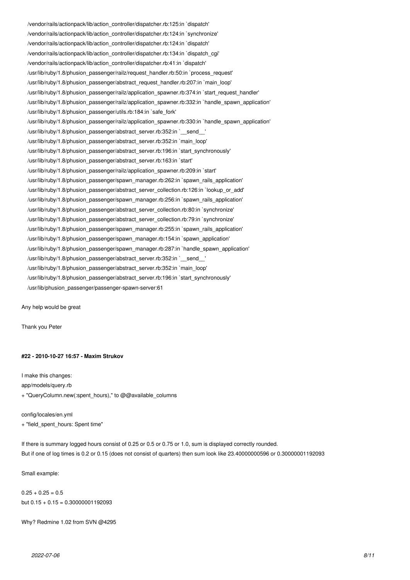/vendor/rails/actionpack/lib/action\_controller/dispatcher.rb:125:in `dispatch' /vendor/rails/actionpack/lib/action\_controller/dispatcher.rb:124:in `synchronize' /vendor/rails/actionpack/lib/action\_controller/dispatcher.rb:124:in `dispatch' /vendor/rails/actionpack/lib/action\_controller/dispatcher.rb:134:in `dispatch\_cgi' /vendor/rails/actionpack/lib/action\_controller/dispatcher.rb:41:in `dispatch' /usr/lib/ruby/1.8/phusion\_passenger/railz/request\_handler.rb:50:in `process\_request' /usr/lib/ruby/1.8/phusion\_passenger/abstract\_request\_handler.rb:207:in `main\_loop' /usr/lib/ruby/1.8/phusion\_passenger/railz/application\_spawner.rb:374:in `start\_request\_handler' /usr/lib/ruby/1.8/phusion\_passenger/railz/application\_spawner.rb:332:in `handle\_spawn\_application' /usr/lib/ruby/1.8/phusion\_passenger/utils.rb:184:in `safe\_fork' /usr/lib/ruby/1.8/phusion\_passenger/railz/application\_spawner.rb:330:in `handle\_spawn\_application' /usr/lib/ruby/1.8/phusion\_passenger/abstract\_server.rb:352:in `\_\_send\_\_' /usr/lib/ruby/1.8/phusion\_passenger/abstract\_server.rb:352:in `main\_loop' /usr/lib/ruby/1.8/phusion\_passenger/abstract\_server.rb:196:in `start\_synchronously' /usr/lib/ruby/1.8/phusion\_passenger/abstract\_server.rb:163:in `start' /usr/lib/ruby/1.8/phusion\_passenger/railz/application\_spawner.rb:209:in `start' /usr/lib/ruby/1.8/phusion\_passenger/spawn\_manager.rb:262:in `spawn\_rails\_application' /usr/lib/ruby/1.8/phusion\_passenger/abstract\_server\_collection.rb:126:in `lookup\_or\_add' /usr/lib/ruby/1.8/phusion\_passenger/spawn\_manager.rb:256:in `spawn\_rails\_application' /usr/lib/ruby/1.8/phusion\_passenger/abstract\_server\_collection.rb:80:in `synchronize' /usr/lib/ruby/1.8/phusion\_passenger/abstract\_server\_collection.rb:79:in `synchronize' /usr/lib/ruby/1.8/phusion\_passenger/spawn\_manager.rb:255:in `spawn\_rails\_application' /usr/lib/ruby/1.8/phusion\_passenger/spawn\_manager.rb:154:in `spawn\_application' /usr/lib/ruby/1.8/phusion\_passenger/spawn\_manager.rb:287:in `handle\_spawn\_application' /usr/lib/ruby/1.8/phusion\_passenger/abstract\_server.rb:352:in `\_\_send\_\_' /usr/lib/ruby/1.8/phusion\_passenger/abstract\_server.rb:352:in `main\_loop' /usr/lib/ruby/1.8/phusion\_passenger/abstract\_server.rb:196:in `start\_synchronously' /usr/lib/phusion\_passenger/passenger-spawn-server:61

Any help would be great

Thank you Peter

#### **#22 - 2010-10-27 16:57 - Maxim Strukov**

I make this changes: app/models/query.rb + "QueryColumn.new(:spent\_hours)," to @@available\_columns

config/locales/en.yml

+ "field\_spent\_hours: Spent time"

If there is summary logged hours consist of 0.25 or 0.5 or 0.75 or 1.0, sum is displayed correctly rounded. But if one of log times is 0.2 or 0.15 (does not consist of quarters) then sum look like 23.40000000596 or 0.30000001192093

Small example:

 $0.25 + 0.25 = 0.5$ but  $0.15 + 0.15 = 0.30000001192093$ 

Why? Redmine 1.02 from SVN @4295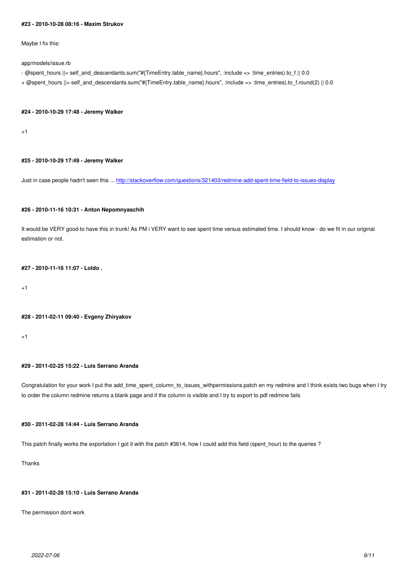Maybe I fix this:

app/models/issue.rb

- @spent\_hours ||= self\_and\_descendants.sum("#{TimeEntry.table\_name}.hours", :include => :time\_entries).to\_f || 0.0
- + @spent\_hours ||= self\_and\_descendants.sum("#{TimeEntry.table\_name}.hours", :include => :time\_entries).to\_f.round(2) || 0.0

#### **#24 - 2010-10-29 17:48 - Jeremy Walker**

+1

#### **#25 - 2010-10-29 17:49 - Jeremy Walker**

Just in case people hadn't seen this ... http://stackoverflow.com/questions/321403/redmine-add-spent-time-field-to-issues-display

#### **#26 - 2010-11-16 10:31 - Anton Nepo[mnyaschih](http://stackoverflow.com/questions/321403/redmine-add-spent-time-field-to-issues-display)**

It would be VERY good to have this in trunk! As PM i VERY want to see spent time versus estimated time. I should know - do we fit in our original estimation or not.

### **#27 - 2010-11-16 11:07 - Loldo .**

+1

#### **#28 - 2011-02-11 09:40 - Evgeny Zhiryakov**

 $+1$ 

## **#29 - 2011-02-25 15:22 - Luis Serrano Aranda**

Congratulation for your work I put the add\_time\_spent\_column\_to\_issues\_withpermissions.patch en my redmine and I think exists two bugs when I try to order the column redmine returns a blank page and if the column is visible and I try to export to pdf redmine fails

## **#30 - 2011-02-28 14:44 - Luis Serrano Aranda**

This patch finally works the exportation I got it with the patch #3614, how I could add this field (spent\_hour) to the queries ?

**Thanks** 

## **#31 - 2011-02-28 15:10 - Luis Serrano Aranda**

The permission dont work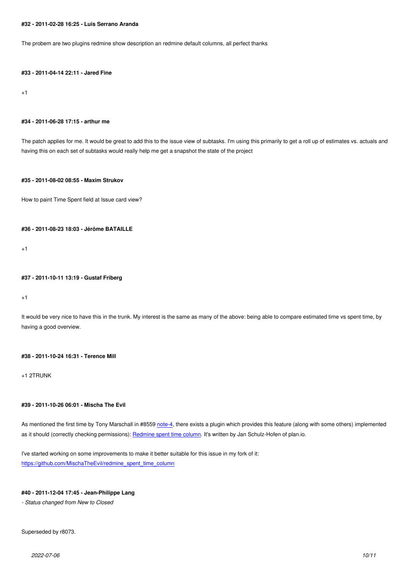The probem are two plugins redmine show description an redmine default columns, all perfect thanks

#### **#33 - 2011-04-14 22:11 - Jared Fine**

+1

#### **#34 - 2011-06-28 17:15 - arthur me**

The patch applies for me. It would be great to add this to the issue view of subtasks. I'm using this primarily to get a roll up of estimates vs. actuals and having this on each set of subtasks would really help me get a snapshot the state of the project

#### **#35 - 2011-08-02 08:55 - Maxim Strukov**

How to paint Time Spent field at Issue card view?

#### **#36 - 2011-08-23 18:03 - Jérôme BATAILLE**

+1

#### **#37 - 2011-10-11 13:19 - Gustaf Friberg**

+1

It would be very nice to have this in the trunk. My interest is the same as many of the above: being able to compare estimated time vs spent time, by having a good overview.

#### **#38 - 2011-10-24 16:31 - Terence Mill**

+1 2TRUNK

### **#39 - 2011-10-26 06:01 - Mischa The Evil**

As mentioned the first time by Tony Marschall in #8559 note-4, there exists a plugin which provides this feature (along with some others) implemented as it should (correctly checking permissions): Redmine spent time column. It's written by Jan Schulz-Hofen of plan.io.

I've started working on some improvements to make it better suitable for this issue in my fork of it: https://github.com/MischaTheEvil/redmine\_sp[ent\\_time\\_column](https://github.com/planio/redmine_spent_time_column)

## **[#40 - 2011-12-04 17:45 - Jean-Philippe Lang](https://github.com/MischaTheEvil/redmine_spent_time_column)**

*- Status changed from New to Closed*

#### Superseded by r8073.